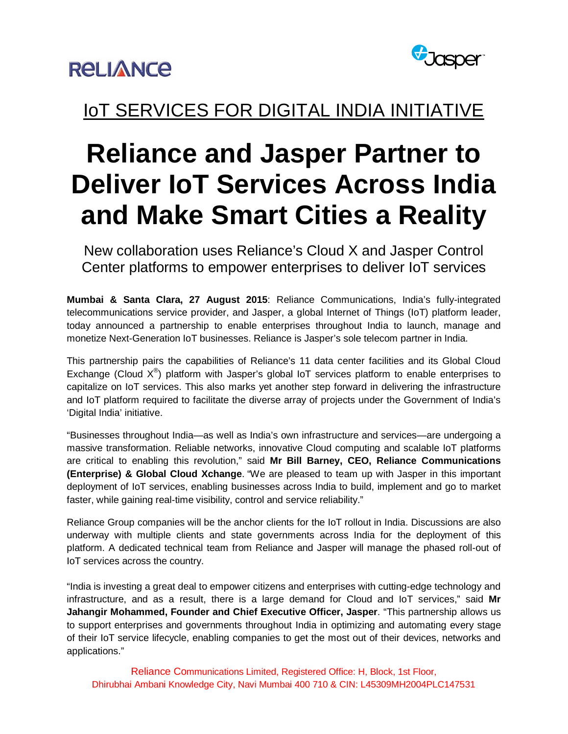



### IoT SERVICES FOR DIGITAL INDIA INITIATIVE

# **Reliance and Jasper Partner to Deliver IoT Services Across India and Make Smart Cities a Reality**

New collaboration uses Reliance's Cloud X and Jasper Control Center platforms to empower enterprises to deliver IoT services

**Mumbai & Santa Clara, 27 August 2015**: Reliance Communications, India's fully-integrated telecommunications service provider, and Jasper, a global Internet of Things (IoT) platform leader, today announced a partnership to enable enterprises throughout India to launch, manage and monetize Next-Generation IoT businesses. Reliance is Jasper's sole telecom partner in India.

This partnership pairs the capabilities of Reliance's 11 data center facilities and its Global Cloud Exchange (Cloud  $X^{\circledast}$ ) platform with Jasper's global IoT services platform to enable enterprises to capitalize on IoT services. This also marks yet another step forward in delivering the infrastructure and IoT platform required to facilitate the diverse array of projects under the Government of India's 'Digital India' initiative.

"Businesses throughout India—as well as India's own infrastructure and services—are undergoing a massive transformation. Reliable networks, innovative Cloud computing and scalable IoT platforms are critical to enabling this revolution," said **Mr Bill Barney, CEO, Reliance Communications (Enterprise) & Global Cloud Xchange**. "We are pleased to team up with Jasper in this important deployment of IoT services, enabling businesses across India to build, implement and go to market faster, while gaining real-time visibility, control and service reliability."

Reliance Group companies will be the anchor clients for the IoT rollout in India. Discussions are also underway with multiple clients and state governments across India for the deployment of this platform. A dedicated technical team from Reliance and Jasper will manage the phased roll-out of IoT services across the country.

"India is investing a great deal to empower citizens and enterprises with cutting-edge technology and infrastructure, and as a result, there is a large demand for Cloud and IoT services," said **Mr Jahangir Mohammed, Founder and Chief Executive Officer, Jasper**. "This partnership allows us to support enterprises and governments throughout India in optimizing and automating every stage of their IoT service lifecycle, enabling companies to get the most out of their devices, networks and applications."

Reliance Communications Limited, Registered Office: H, Block, 1st Floor, Dhirubhai Ambani Knowledge City, Navi Mumbai 400 710 & CIN: L45309MH2004PLC147531